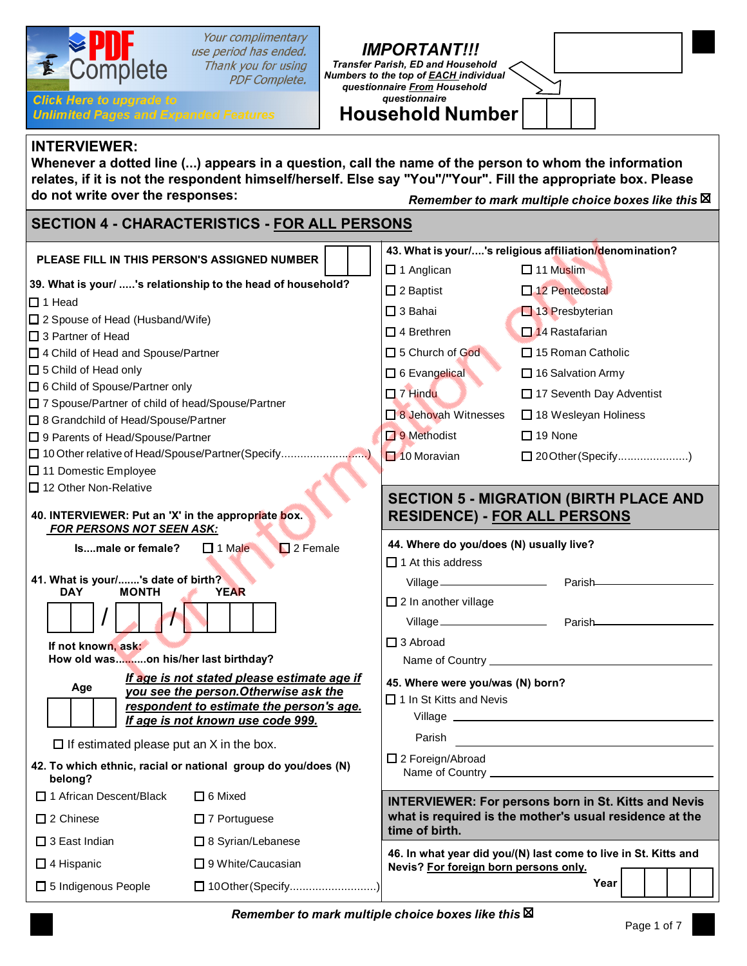| Your complimentary<br>use period has ended.<br>Complete<br>Thank you for using<br><b>PDF Complete.</b><br><b>Click Here to upgrade to</b><br><b>Unlimited Pages and Expanded Features</b>                                                                                                                                                        | <b>IMPORTANT!!!</b><br><b>Transfer Parish, ED and Household</b><br>Numbers to the top of EACH individual<br>questionnaire From Household<br><i><b>auestionnaire</b></i><br><b>Household Number</b> |  |  |
|--------------------------------------------------------------------------------------------------------------------------------------------------------------------------------------------------------------------------------------------------------------------------------------------------------------------------------------------------|----------------------------------------------------------------------------------------------------------------------------------------------------------------------------------------------------|--|--|
| <b>INTERVIEWER:</b><br>Whenever a dotted line () appears in a question, call the name of the person to whom the information<br>relates, if it is not the respondent himself/herself. Else say "You"/"Your". Fill the appropriate box. Please<br>do not write over the responses:<br>Remember to mark multiple choice boxes like this $\boxtimes$ |                                                                                                                                                                                                    |  |  |
| <b>SECTION 4 - CHARACTERISTICS - FOR ALL PERSONS</b>                                                                                                                                                                                                                                                                                             |                                                                                                                                                                                                    |  |  |
| PLEASE FILL IN THIS PERSON'S ASSIGNED NUMBER                                                                                                                                                                                                                                                                                                     | 43. What is your/'s religious affiliation/denomination?<br>$\Box$ 1 Anglican<br>$\Box$ 11 Muslim                                                                                                   |  |  |
| 39. What is your/ 's relationship to the head of household?<br>$\Box$ 1 Head                                                                                                                                                                                                                                                                     | $\square$ 12 Pentecostal<br>$\Box$ 2 Baptist<br>$\Box$ 3 Bahai<br>$\Box$ 13 Presbyterian                                                                                                           |  |  |
| □ 2 Spouse of Head (Husband/Wife)<br>$\Box$ 3 Partner of Head                                                                                                                                                                                                                                                                                    | $\Box$ 4 Brethren<br>$\Box$ 14 Rastafarian                                                                                                                                                         |  |  |
| □ 4 Child of Head and Spouse/Partner<br>$\Box$ 5 Child of Head only<br>□ 6 Child of Spouse/Partner only                                                                                                                                                                                                                                          | □ 5 Church of God<br>$\Box$ 15 Roman Catholic<br>□ 6 Evangelical<br>$\Box$ 16 Salvation Army<br>$\Box$ 7 Hindu<br>□ 17 Seventh Day Adventist                                                       |  |  |
| 7 Spouse/Partner of child of head/Spouse/Partner<br>□ 8 Grandchild of Head/Spouse/Partner                                                                                                                                                                                                                                                        | $\Box$ 8 Jehovah Witnesses<br>□ 18 Wesleyan Holiness<br>$\Box$ 9 Methodist<br>$\Box$ 19 None                                                                                                       |  |  |
| □ 9 Parents of Head/Spouse/Partner<br>[10 Other relative of Head/Spouse/Partner(Specify)<br>□ 11 Domestic Employee                                                                                                                                                                                                                               | □ 20 Other (Specify)<br>$\Box$ 10 Moravian                                                                                                                                                         |  |  |
| $\Box$ 12 Other Non-Relative<br>40. INTERVIEWER: Put an 'X' in the appropriate box.<br><b>FOR PERSONS NOT SEEN ASK:</b>                                                                                                                                                                                                                          | <b>SECTION 5 - MIGRATION (BIRTH PLACE AND</b><br><b>RESIDENCE) - FOR ALL PERSONS</b>                                                                                                               |  |  |
| $\Box$ 2 Female<br>Ismale or female?<br>$\Box$ 1 Male                                                                                                                                                                                                                                                                                            | 44. Where do you/does (N) usually live?<br>$\Box$ 1 At this address                                                                                                                                |  |  |
| 41. What is your/'s date of birth?<br><b>MONTH</b><br><b>DAY</b><br><b>YEAR</b>                                                                                                                                                                                                                                                                  | Parish<br>Village<br>$\square$ 2 In another village                                                                                                                                                |  |  |
| If not known, ask:                                                                                                                                                                                                                                                                                                                               | Parish<br>$\square$ 3 Abroad                                                                                                                                                                       |  |  |
| How old wason his/her last birthday?<br>If age is not stated please estimate age if<br>Age<br>you see the person. Otherwise ask the                                                                                                                                                                                                              | 45. Where were you/was (N) born?                                                                                                                                                                   |  |  |
| respondent to estimate the person's age.<br>If age is not known use code 999.                                                                                                                                                                                                                                                                    | $\Box$ 1 In St Kitts and Nevis                                                                                                                                                                     |  |  |
| $\Box$ If estimated please put an X in the box.                                                                                                                                                                                                                                                                                                  | Parish<br>$\Box$ 2 Foreign/Abroad                                                                                                                                                                  |  |  |
| 42. To which ethnic, racial or national group do you/does (N)<br>belong?                                                                                                                                                                                                                                                                         |                                                                                                                                                                                                    |  |  |
| □ 1 African Descent/Black<br>$\Box$ 6 Mixed<br>$\square$ 2 Chinese<br>$\Box$ 7 Portuguese                                                                                                                                                                                                                                                        | <b>INTERVIEWER: For persons born in St. Kitts and Nevis</b><br>what is required is the mother's usual residence at the                                                                             |  |  |
| $\Box$ 3 East Indian<br>$\Box$ 8 Syrian/Lebanese                                                                                                                                                                                                                                                                                                 | time of birth.                                                                                                                                                                                     |  |  |
| $\Box$ 4 Hispanic<br>$\Box$ 9 White/Caucasian                                                                                                                                                                                                                                                                                                    | 46. In what year did you/(N) last come to live in St. Kitts and<br>Nevis? For foreign born persons only.                                                                                           |  |  |
| □ 5 Indigenous People                                                                                                                                                                                                                                                                                                                            | Year                                                                                                                                                                                               |  |  |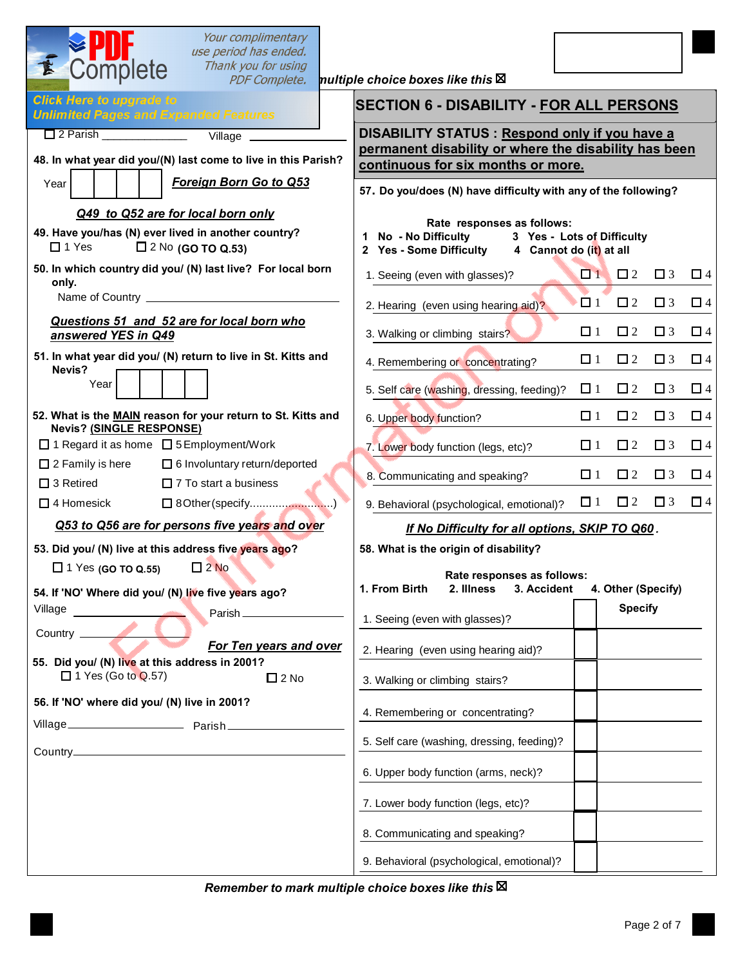| Your complimentary<br>use period has ended.<br>K<br>Complete<br>Thank you for using<br><b>PDF Complete.</b>                           | nultiple choice boxes like this $\boxtimes$                                                           |                                  |          |
|---------------------------------------------------------------------------------------------------------------------------------------|-------------------------------------------------------------------------------------------------------|----------------------------------|----------|
| <b>Click Here to upgrade to</b><br><b>Unlimited Pages and Expanded Features</b>                                                       | <b>SECTION 6 - DISABILITY - FOR ALL PERSONS</b>                                                       |                                  |          |
|                                                                                                                                       | DISABILITY STATUS : Respond only if you have a                                                        |                                  |          |
| 48. In what year did you/(N) last come to live in this Parish?                                                                        | permanent disability or where the disability has been<br>continuous for six months or more.           |                                  |          |
| <b>Foreign Born Go to Q53</b><br>Year                                                                                                 | 57. Do you/does (N) have difficulty with any of the following?                                        |                                  |          |
| Q49 to Q52 are for local born only<br>49. Have you/has (N) ever lived in another country?<br>$\Box$ 2 No (GO TO Q.53)<br>$\Box$ 1 Yes | Rate responses as follows:<br>1 No - No Difficulty<br>2 Yes - Some Difficulty 4 Cannot do (it) at all | 3 Yes - Lots of Difficulty       |          |
| 50. In which country did you/ (N) last live? For local born<br>only.                                                                  | 1. Seeing (even with glasses)?                                                                        | $\Box$ 1 $\Box$ 2<br>$\Box$ 3    | $\Box$ 4 |
|                                                                                                                                       | 2. Hearing (even using hearing aid)?                                                                  | $\Box$ 1<br>$\Box$ 2<br>$\Box$ 3 | $\Box$ 4 |
| Questions 51 and 52 are for local born who<br>answered YES in Q49                                                                     | 3. Walking or climbing stairs?                                                                        | $\Box$ 1<br>$\Box$ 2<br>$\Box$ 3 | $\Box$ 4 |
| 51. In what year did you/ (N) return to live in St. Kitts and<br>Nevis?                                                               | 4. Remembering or concentrating?                                                                      | $\Box$ 1<br>$\Box$ 2<br>$\Box$ 3 | $\Box$ 4 |
| Year                                                                                                                                  | 5. Self care (washing, dressing, feeding)?                                                            | $\Box$ 1<br>$\Box$ 2<br>$\Box$ 3 | $\Box$ 4 |
| 52. What is the MAIN reason for your return to St. Kitts and<br>Nevis? (SINGLE RESPONSE)                                              | 6. Upper body function?                                                                               | $\Box$ 1<br>$\Box$ 2<br>$\Box$ 3 | $\Box$ 4 |
| □ 1 Regard it as home □ 5 Employment/Work                                                                                             | 7. Lower body function (legs, etc)?                                                                   | $\Box$ 2<br>$\Box$ 1<br>$\Box$ 3 | $\Box$ 4 |
| $\Box$ 2 Family is here<br>□ 6 Involuntary return/deported<br>$\square$ 3 Retired<br>$\Box$ 7 To start a business                     | 8. Communicating and speaking?                                                                        | $\Box$ 1<br>$\Box$ 2<br>$\Box$ 3 | $\Box$ 4 |
| $\square$ 4 Homesick<br>□ 8Other (specify)                                                                                            | 9. Behavioral (psychological, emotional)?                                                             | $\Box$ 2 $\Box$ 3<br>$\Box$ 1    | $\Box$ 4 |
| Q53 to Q56 are for persons five years and over                                                                                        | If No Difficulty for all options, SKIP TO Q60.                                                        |                                  |          |
| 53. Did you/ (N) live at this address five years ago?                                                                                 | 58. What is the origin of disability?                                                                 |                                  |          |
| $\Box$ 1 Yes (GO TO Q.55) $\Box$ 2 No<br>54. If 'NO' Where did you/ (N) live five years ago?                                          | Rate responses as follows:<br>1. From Birth<br>2. Illness<br>3. Accident                              | 4. Other (Specify)               |          |
| Village<br>the contract of the contract of<br>Parish                                                                                  | 1. Seeing (even with glasses)?                                                                        | <b>Specify</b>                   |          |
| Country <u>Country</u><br>For Ten years and over                                                                                      | 2. Hearing (even using hearing aid)?                                                                  |                                  |          |
| 55. Did you/ (N) live at this address in 2001?<br>$\Box$ 1 Yes (Go to Q.57)<br>$\square$ 2 No                                         | 3. Walking or climbing stairs?                                                                        |                                  |          |
| 56. If 'NO' where did you/ (N) live in 2001?                                                                                          | 4. Remembering or concentrating?                                                                      |                                  |          |
|                                                                                                                                       | 5. Self care (washing, dressing, feeding)?                                                            |                                  |          |
|                                                                                                                                       | 6. Upper body function (arms, neck)?                                                                  |                                  |          |
|                                                                                                                                       | 7. Lower body function (legs, etc)?                                                                   |                                  |          |
|                                                                                                                                       | 8. Communicating and speaking?                                                                        |                                  |          |
|                                                                                                                                       | 9. Behavioral (psychological, emotional)?                                                             |                                  |          |

*Remember to mark multiple choice boxes like this*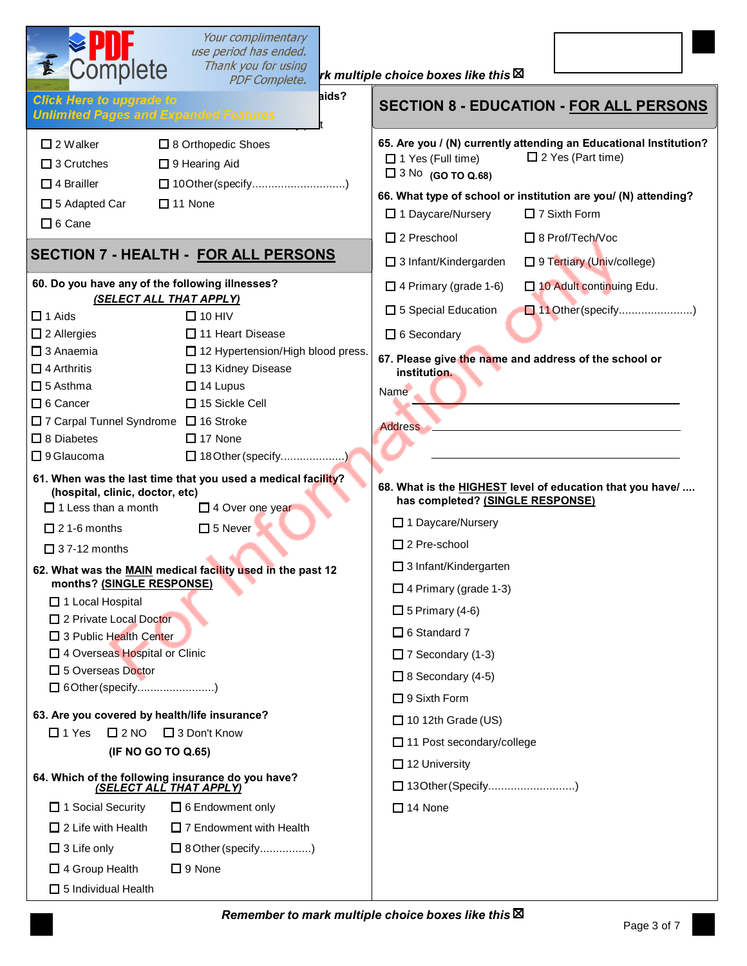| Complete                                                                                                                | Your complimentary<br>use period has ended.<br>Thank you for using<br><b>PDF Complete.</b> | rk multiple choice boxes like this $\boxtimes$                                                                                                                                                                                                                                                                 |
|-------------------------------------------------------------------------------------------------------------------------|--------------------------------------------------------------------------------------------|----------------------------------------------------------------------------------------------------------------------------------------------------------------------------------------------------------------------------------------------------------------------------------------------------------------|
| <b>Click Here to upgrade to</b><br><b>Unlimited Pages and Expanded Features</b>                                         | aids?                                                                                      | <b>SECTION 8 - EDUCATION - FOR ALL PERSONS</b>                                                                                                                                                                                                                                                                 |
| $\square$ 2 Walker<br>$\Box$ 3 Crutches<br>$\Box$ 4 Brailler<br>$\square$ 5 Adapted Car<br>$\Box$ 6 Cane                | □ 8 Orthopedic Shoes<br>$\Box$ 9 Hearing Aid<br>□ 10Other(specify)<br>$\Box$ 11 None       | 65. Are you / (N) currently attending an Educational Institution?<br>$\square$ 2 Yes (Part time)<br>□ 1 Yes (Full time)<br>$\Box$ 3 No (GO TO Q.68)<br>66. What type of school or institution are you/ (N) attending?<br>□ 1 Daycare/Nursery<br>$\Box$ 7 Sixth Form<br>$\Box$ 2 Preschool<br>□ 8 Prof/Tech/Voc |
|                                                                                                                         | <b>SECTION 7 - HEALTH - FOR ALL PERSONS</b>                                                | □ 3 Infant/Kindergarden<br>□ 9 Tertiary (Univ/college)                                                                                                                                                                                                                                                         |
| 60. Do you have any of the following illnesses?<br><b>(SELECT ALL THAT APPLY)</b><br>$\Box$ 1 Aids                      | $\Box$ 10 HIV                                                                              | $\Box$ 4 Primary (grade 1-6)<br>□ 10 Adult continuing Edu.<br>□ 5 Special Education<br>11 Other (specify)                                                                                                                                                                                                      |
| $\square$ 2 Allergies<br>$\square$ 3 Anaemia<br>$\Box$ 4 Arthritis                                                      | $\Box$ 11 Heart Disease<br>□ 12 Hypertension/High blood press.<br>□ 13 Kidney Disease      | □ 6 Secondary<br>67. Please give the name and address of the school or<br>institution.                                                                                                                                                                                                                         |
| $\square$ 5 Asthma<br>□ 6 Cancer<br>□ 7 Carpal Tunnel Syndrome □ 16 Stroke<br>$\Box$ 8 Diabetes<br>$\square$ 9 Glaucoma | $\Box$ 14 Lupus<br>$\Box$ 15 Sickle Cell<br>$\Box$ 17 None<br>□ 18 Other (specify)         | Name<br><b>Address</b>                                                                                                                                                                                                                                                                                         |
| (hospital, clinic, doctor, etc)<br>$\Box$ 1 Less than a month                                                           | 61. When was the last time that you used a medical facility?<br>$\square$ 4 Over one year  | 68. What is the HIGHEST level of education that you have/<br>has completed? (SINGLE RESPONSE)                                                                                                                                                                                                                  |
| $\Box$ 21-6 months                                                                                                      | $\square$ 5 Never                                                                          | □ 1 Daycare/Nursery                                                                                                                                                                                                                                                                                            |
| $\Box$ 37-12 months                                                                                                     |                                                                                            | $\Box$ 2 Pre-school<br>$\Box$ 3 Infant/Kindergarten                                                                                                                                                                                                                                                            |
| months? (SINGLE RESPONSE)<br>$\Box$ 1 Local Hospital<br>□ 2 Private Local Doctor<br>$\Box$ 3 Public Health Center       | 62. What was the MAIN medical facility used in the past 12                                 | $\Box$ 4 Primary (grade 1-3)<br>$\Box$ 5 Primary (4-6)<br>$\Box$ 6 Standard 7                                                                                                                                                                                                                                  |
| 4 Overseas Hospital or Clinic<br>□ 5 Overseas Doctor<br>□ 6Other (specify)                                              |                                                                                            | $\Box$ 7 Secondary (1-3)<br>$\Box$ 8 Secondary (4-5)<br>$\Box$ 9 Sixth Form                                                                                                                                                                                                                                    |
| 63. Are you covered by health/life insurance?<br>$\square$ 2 NO<br>$\Box$ 1 Yes<br>(IF NO GO TO Q.65)                   | $\Box$ 3 Don't Know                                                                        | $\Box$ 10 12th Grade (US)<br>$\Box$ 11 Post secondary/college                                                                                                                                                                                                                                                  |
| 64. Which of the following insurance do you have?<br><u>(SELECT ALL THAT APPLY)</u>                                     |                                                                                            | $\Box$ 12 University<br>□ 13Other (Specify)                                                                                                                                                                                                                                                                    |
| $\Box$ 1 Social Security<br>$\Box$ 2 Life with Health<br>$\Box$ 3 Life only                                             | $\Box$ 6 Endowment only<br>$\Box$ 7 Endowment with Health<br>$\Box$ 8 Other (specify)      | $\Box$ 14 None                                                                                                                                                                                                                                                                                                 |
| $\Box$ 4 Group Health<br>$\Box$ 5 Individual Health                                                                     | $\Box$ 9 None                                                                              |                                                                                                                                                                                                                                                                                                                |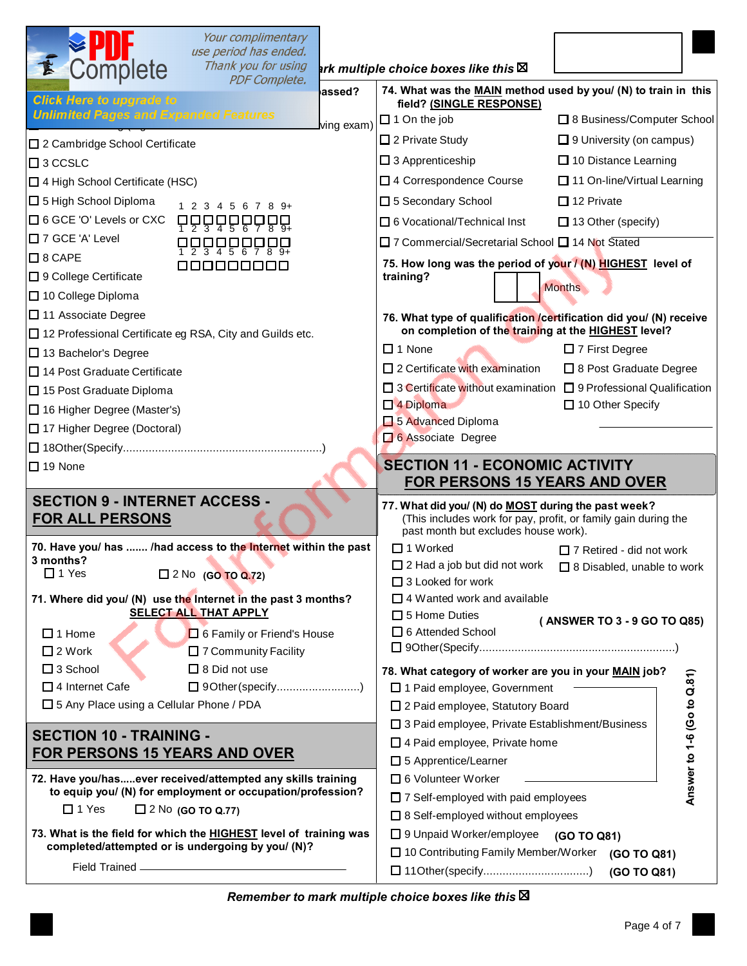| use period has ended.                                                                                                     |                                                                                                                       |
|---------------------------------------------------------------------------------------------------------------------------|-----------------------------------------------------------------------------------------------------------------------|
| <b>EPUT</b><br>Complete<br>Thank you for using<br><b>PDF Complete.</b>                                                    | ark multiple choice boxes like this $\boxtimes$                                                                       |
| assed?<br><b>Click Here to upgrade to</b>                                                                                 | 74. What was the MAIN method used by you/ (N) to train in this<br>field? (SINGLE RESPONSE)                            |
| <b>Unlimited Pages and Expanded Features</b><br>ving exam)                                                                | $\Box$ 1 On the job<br>□ 8 Business/Computer School                                                                   |
| □ 2 Cambridge School Certificate                                                                                          | □ 2 Private Study<br>$\Box$ 9 University (on campus)                                                                  |
| $\square$ 3 CCSLC                                                                                                         | $\Box$ 3 Apprenticeship<br>$\Box$ 10 Distance Learning                                                                |
| 4 High School Certificate (HSC)                                                                                           | □ 4 Correspondence Course<br>□ 11 On-line/Virtual Learning                                                            |
| □ 5 High School Diploma<br>1 2 3 4 5 6 7 8 9 +                                                                            | $\Box$ 12 Private<br>□ 5 Secondary School                                                                             |
| □ 6 GCE 'O' Levels or CXC<br>₽₽₽₽₽₽₽₽₽                                                                                    | □ 6 Vocational/Technical Inst<br>$\Box$ 13 Other (specify)                                                            |
| $\Box$ 7 GCE 'A' Level<br><b>ĊŎŎĊŔĊŔĊ</b>                                                                                 | □ 7 Commercial/Secretarial School □ 14 Not Stated                                                                     |
| $\square$ 8 CAPE<br>000000000                                                                                             | 75. How long was the period of your / (N) HIGHEST level of                                                            |
| □ 9 College Certificate                                                                                                   | training?<br><b>Months</b>                                                                                            |
| □ 10 College Diploma                                                                                                      |                                                                                                                       |
| □ 11 Associate Degree                                                                                                     | 76. What type of qualification /certification did you/ (N) receive                                                    |
| □ 12 Professional Certificate eg RSA, City and Guilds etc.                                                                | on completion of the training at the HIGHEST level?                                                                   |
| □ 13 Bachelor's Degree                                                                                                    | $\Box$ 1 None<br>$\Box$ 7 First Degree                                                                                |
| $\Box$ 14 Post Graduate Certificate                                                                                       | $\Box$ 2 Certificate with examination<br>□ 8 Post Graduate Degree                                                     |
| □ 15 Post Graduate Diploma                                                                                                | □ 3 Certificate without examination □ 9 Professional Qualification<br>$\Box$ 4 Diploma<br>□ 10 Other Specify          |
| □ 16 Higher Degree (Master's)                                                                                             | 5 Advanced Diploma                                                                                                    |
| □ 17 Higher Degree (Doctoral)                                                                                             | 6 Associate Degree                                                                                                    |
|                                                                                                                           | <b>SECTION 11 - ECONOMIC ACTIVITY</b>                                                                                 |
| $\Box$ 19 None                                                                                                            | <b>FOR PERSONS 15 YEARS AND OVER</b>                                                                                  |
| <b>SECTION 9 - INTERNET ACCESS -</b>                                                                                      |                                                                                                                       |
| <b>FOR ALL PERSONS</b>                                                                                                    | 77. What did you/ (N) do MOST during the past week?<br>(This includes work for pay, profit, or family gain during the |
| 70. Have you/ has  /had access to the Internet within the past                                                            | past month but excludes house work).<br>$\Box$ 1 Worked<br>$\Box$ 7 Retired - did not work                            |
| 3 months?<br>$\Box$ 1 Yes<br>$\Box$ 2 No (GO TO Q.72)                                                                     | □ 2 Had a job but did not work □ 8 Disabled, unable to work                                                           |
|                                                                                                                           | $\Box$ 3 Looked for work<br>$\Box$ 4 Wanted work and available                                                        |
| 71. Where did you/ (N) use the Internet in the past 3 months?<br><b>SELECT ALL THAT APPLY</b>                             | $\Box$ 5 Home Duties                                                                                                  |
| $\Box$ 1 Home<br>6 Family or Friend's House                                                                               | (ANSWER TO 3 - 9 GO TO Q85)<br>6 Attended School                                                                      |
| □ 7 Community Facility<br>$\Box$ 2 Work                                                                                   |                                                                                                                       |
| $\Box$ 8 Did not use<br>$\square$ 3 School                                                                                | 78. What category of worker are you in your MAIN job?                                                                 |
| $\Box$ 4 Internet Cafe<br>□ 9Other (specify)                                                                              | 1 Paid employee, Government                                                                                           |
| □ 5 Any Place using a Cellular Phone / PDA                                                                                | □ 2 Paid employee, Statutory Board                                                                                    |
|                                                                                                                           | □ 3 Paid employee, Private Establishment/Business                                                                     |
| <b>SECTION 10 - TRAINING -</b><br><u>FOR PERSONS 15 YEARS AND OVER</u>                                                    | 4 Paid employee, Private home                                                                                         |
|                                                                                                                           | 5 Apprentice/Learner                                                                                                  |
| 72. Have you/hasever received/attempted any skills training<br>to equip you/ (N) for employment or occupation/profession? | 6 Volunteer Worker                                                                                                    |
| $\Box$ 1 Yes<br>$\square$ 2 No (GO TO Q.77)                                                                               | Answer to 1-6 (Go to Q.81)<br>7 Self-employed with paid employees                                                     |
| 73. What is the field for which the HIGHEST level of training was                                                         | □ 8 Self-employed without employees<br>□ 9 Unpaid Worker/employee (GO TO Q81)                                         |
| completed/attempted or is undergoing by you/ (N)?                                                                         | □ 10 Contributing Family Member/Worker (GO TO Q81)<br>(GO TO Q81)                                                     |

*Remember to mark multiple choice boxes like this*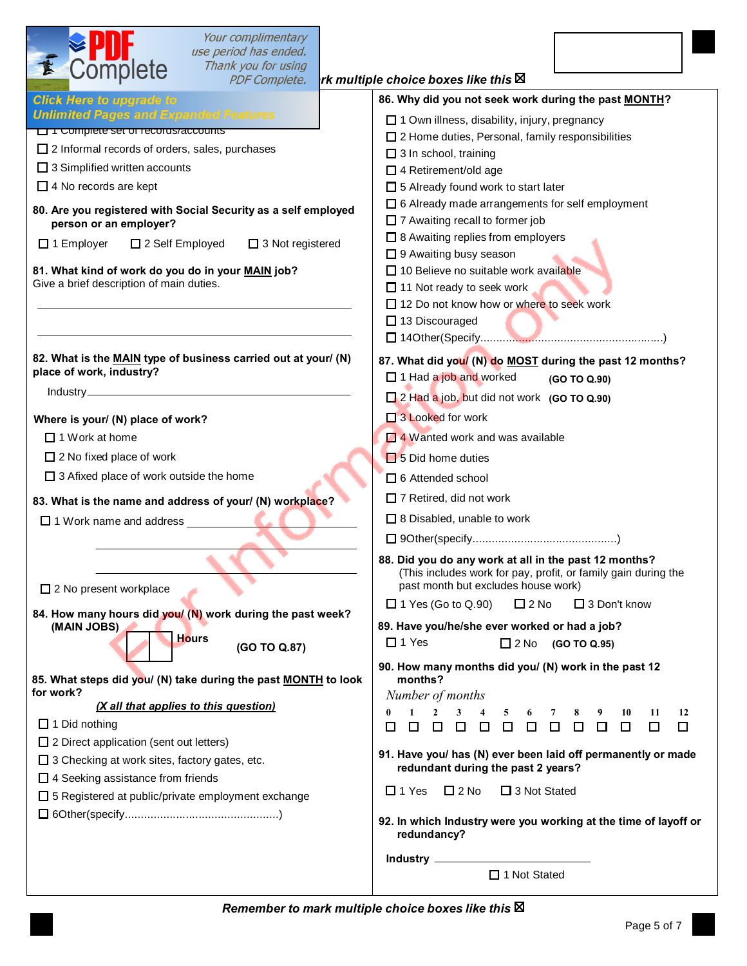| Your complimentary<br>use period has ended.<br>Complete<br>Thank you for using<br><b>PDF Complete.</b>                                                                                                                                                                                                                                                                                                                                                  | rk multiple choice boxes like this $\boxtimes$                                                                                                                                                                                                                                                                                                                                                                                                                                                                                                                               |
|---------------------------------------------------------------------------------------------------------------------------------------------------------------------------------------------------------------------------------------------------------------------------------------------------------------------------------------------------------------------------------------------------------------------------------------------------------|------------------------------------------------------------------------------------------------------------------------------------------------------------------------------------------------------------------------------------------------------------------------------------------------------------------------------------------------------------------------------------------------------------------------------------------------------------------------------------------------------------------------------------------------------------------------------|
| <b>Click Here to upgrade to</b>                                                                                                                                                                                                                                                                                                                                                                                                                         | 86. Why did you not seek work during the past MONTH?                                                                                                                                                                                                                                                                                                                                                                                                                                                                                                                         |
| <b>Unlimited Pages and Expanded Features</b><br><b>Latituding the Set of Tecords/accounts</b><br>$\square$ 2 Informal records of orders, sales, purchases<br>$\Box$ 3 Simplified written accounts<br>$\Box$ 4 No records are kept<br>80. Are you registered with Social Security as a self employed<br>person or an employer?<br>$\Box$ 3 Not registered<br>$\Box$ 1 Employer<br>□ 2 Self Employed<br>81. What kind of work do you do in your MAIN job? | □ 1 Own illness, disability, injury, pregnancy<br>$\square$ 2 Home duties, Personal, family responsibilities<br>$\Box$ 3 In school, training<br>$\Box$ 4 Retirement/old age<br>□ 5 Already found work to start later<br>$\Box$ 6 Already made arrangements for self employment<br>□ 7 Awaiting recall to former job<br>$\Box$ 8 Awaiting replies from employers<br>□ 9 Awaiting busy season<br>□ 10 Believe no suitable work available                                                                                                                                       |
| Give a brief description of main duties.                                                                                                                                                                                                                                                                                                                                                                                                                | $\Box$ 11 Not ready to seek work<br>□ 12 Do not know how or where to seek work<br>$\Box$ 13 Discouraged                                                                                                                                                                                                                                                                                                                                                                                                                                                                      |
| 82. What is the MAIN type of business carried out at your/ (N)<br>place of work, industry?                                                                                                                                                                                                                                                                                                                                                              | 87. What did you/ (N) do MOST during the past 12 months?<br>□ 1 Had a job and worked<br>(GO TO Q.90)<br>2 Had a job, but did not work (GO TO Q.90)                                                                                                                                                                                                                                                                                                                                                                                                                           |
| Where is your/ (N) place of work?<br>$\Box$ 1 Work at home<br>$\Box$ 2 No fixed place of work<br>$\Box$ 3 Afixed place of work outside the home                                                                                                                                                                                                                                                                                                         | $\Box$ 3 Looked for work<br>$\Box$ 4 Wanted work and was available<br>$\Box$ 5 Did home duties<br>$\Box$ 6 Attended school                                                                                                                                                                                                                                                                                                                                                                                                                                                   |
| 83. What is the name and address of your/ (N) workplace?<br>$\Box$ 1 Work name and address $\Box$                                                                                                                                                                                                                                                                                                                                                       | 7 Retired, did not work<br>□ 8 Disabled, unable to work<br>88. Did you do any work at all in the past 12 months?                                                                                                                                                                                                                                                                                                                                                                                                                                                             |
| $\Box$ 2 No present workplace                                                                                                                                                                                                                                                                                                                                                                                                                           | (This includes work for pay, profit, or family gain during the<br>past month but excludes house work)<br>$\Box$ 1 Yes (Go to Q.90)<br>$\square$ 2 No<br>□ 3 Don't know                                                                                                                                                                                                                                                                                                                                                                                                       |
| 84. How many hours did you/ (N) work during the past week?<br>(MAIN JOBS)<br><b>Hours</b><br>(GO TO Q.87)                                                                                                                                                                                                                                                                                                                                               | 89. Have you/he/she ever worked or had a job?<br>$\Box$ 1 Yes<br>$\Box$ 2 No<br>(GO TO Q.95)                                                                                                                                                                                                                                                                                                                                                                                                                                                                                 |
| 85. What steps did you/ (N) take during the past MONTH to look<br>for work?<br>(X all that applies to this question)<br>$\Box$ 1 Did nothing<br>$\Box$ 2 Direct application (sent out letters)<br>$\Box$ 3 Checking at work sites, factory gates, etc.<br>$\Box$ 4 Seeking assistance from friends<br>$\Box$ 5 Registered at public/private employment exchange                                                                                         | 90. How many months did you/ (N) work in the past 12<br>months?<br>Number of months<br>$\overline{2}$<br>$1 \quad$<br>3 <sup>7</sup><br>$\bf{0}$<br>$\overline{\mathbf{4}}$<br>6<br>10<br>11<br>12<br>7<br>8<br>9<br>$\Box$<br>$\Box$ $\Box$<br>$\Box$ $\Box$<br>$\Box$<br>$\Box$<br>$\Box$<br>$\Box$<br>$\Box$<br>□<br>$\Box$<br>□<br>91. Have you/ has (N) ever been laid off permanently or made<br>redundant during the past 2 years?<br>$\Box$ 1 Yes<br>$\Box$ 2 No<br>□ 3 Not Stated<br>92. In which Industry were you working at the time of layoff or<br>redundancy? |
|                                                                                                                                                                                                                                                                                                                                                                                                                                                         | □ 1 Not Stated                                                                                                                                                                                                                                                                                                                                                                                                                                                                                                                                                               |

*Remember to mark multiple choice boxes like this*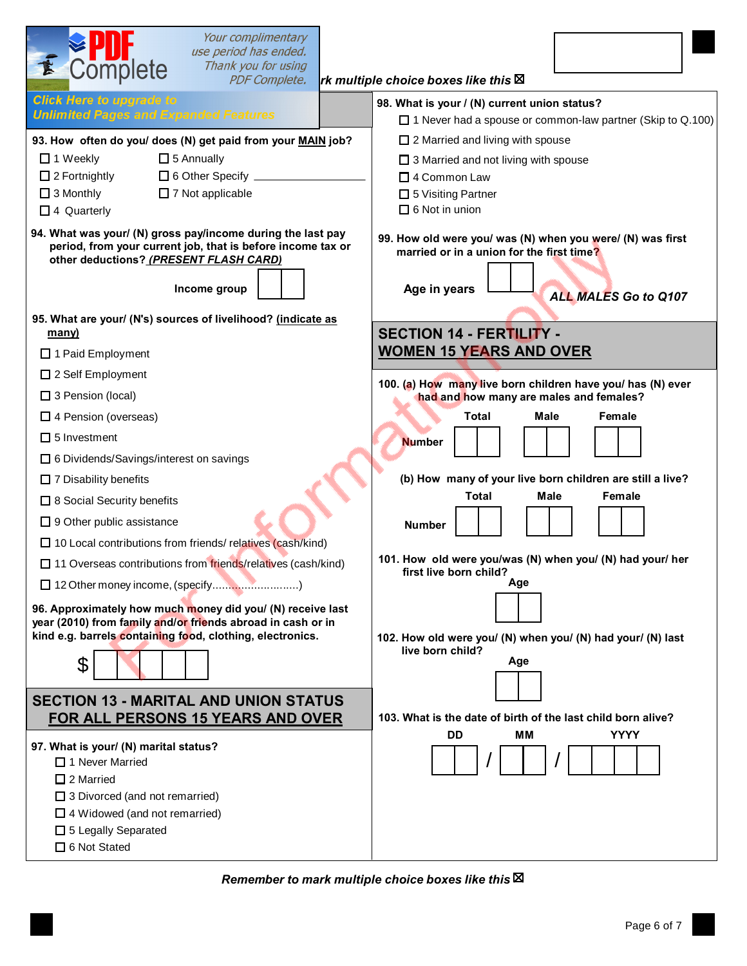| Your complimentary<br>use period has ended.<br>Complete<br>Thank you for using<br><b>PDF Complete.</b>                                                                                                                                                                                         | rk multiple choice boxes like this $\boxtimes$                                                                                                                                                                                                                |
|------------------------------------------------------------------------------------------------------------------------------------------------------------------------------------------------------------------------------------------------------------------------------------------------|---------------------------------------------------------------------------------------------------------------------------------------------------------------------------------------------------------------------------------------------------------------|
| <b>Click Here to upgrade to</b><br><b>Unlimited Pages and Expanded Features</b><br>93. How often do you/ does (N) get paid from your MAIN job?<br>$\Box$ 5 Annually<br>$\Box$ 1 Weekly<br>$\Box$ 2 Fortnightly<br>$\Box$ 6 Other Specify $\Box$<br>$\Box$ 3 Monthly<br>$\Box$ 7 Not applicable | 98. What is your / (N) current union status?<br>$\Box$ 1 Never had a spouse or common-law partner (Skip to Q.100)<br>$\Box$ 2 Married and living with spouse<br>□ 3 Married and not living with spouse<br>$\Box$ 4 Common Law<br>$\square$ 5 Visiting Partner |
| $\Box$ 4 Quarterly<br>94. What was your/ (N) gross pay/income during the last pay<br>period, from your current job, that is before income tax or<br>other deductions? (PRESENT FLASH CARD)<br>Income group<br>95. What are your/ (N's) sources of livelihood? (indicate as                     | $\Box$ 6 Not in union<br>99. How old were you/ was (N) when you were/ (N) was first<br>married or in a union for the first time?<br>Age in years<br>ALL MALES Go to Q107                                                                                      |
| many)<br>□ 1 Paid Employment                                                                                                                                                                                                                                                                   | <b>SECTION 14 - FERTILITY -</b><br><b>WOMEN 15 YEARS AND OVER</b>                                                                                                                                                                                             |
| $\Box$ 2 Self Employment<br>$\square$ 3 Pension (local)                                                                                                                                                                                                                                        | 100. (a) How many live born children have you/ has (N) ever<br>had and how many are males and females?                                                                                                                                                        |
| $\Box$ 4 Pension (overseas)<br>$\square$ 5 Investment<br>□ 6 Dividends/Savings/interest on savings                                                                                                                                                                                             | Total<br>Male<br>Female<br><b>Number</b>                                                                                                                                                                                                                      |
| $\Box$ 7 Disability benefits<br>□ 8 Social Security benefits                                                                                                                                                                                                                                   | (b) How many of your live born children are still a live?<br><b>Female</b><br>Total<br>Male                                                                                                                                                                   |
| $\Box$ 9 Other public assistance<br>□ 10 Local contributions from friends/ relatives (cash/kind)<br>□ 11 Overseas contributions from friends/relatives (cash/kind)                                                                                                                             | <b>Number</b><br>101. How old were you/was (N) when you/ (N) had your/ her                                                                                                                                                                                    |
| 96. Approximately how much money did you/ (N) receive last<br>year (2010) from family and/or friends abroad in cash or in<br>kind e.g. barrels containing food, clothing, electronics.<br>\$                                                                                                   | first live born child?<br>Age<br>102. How old were you/ (N) when you/ (N) had your/ (N) last<br>live born child?<br>Age                                                                                                                                       |
| <b>SECTION 13 - MARITAL AND UNION STATUS</b><br>FOR ALL PERSONS 15 YEARS AND OVER                                                                                                                                                                                                              | 103. What is the date of birth of the last child born alive?                                                                                                                                                                                                  |
| 97. What is your/ (N) marital status?<br>$\Box$ 1 Never Married<br>$\Box$ 2 Married<br>$\Box$ 3 Divorced (and not remarried)<br>$\Box$ 4 Widowed (and not remarried)<br>$\Box$ 5 Legally Separated<br>$\Box$ 6 Not Stated                                                                      | <b>DD</b><br><b>YYYY</b><br>MМ                                                                                                                                                                                                                                |

*Remember to mark multiple choice boxes like this*